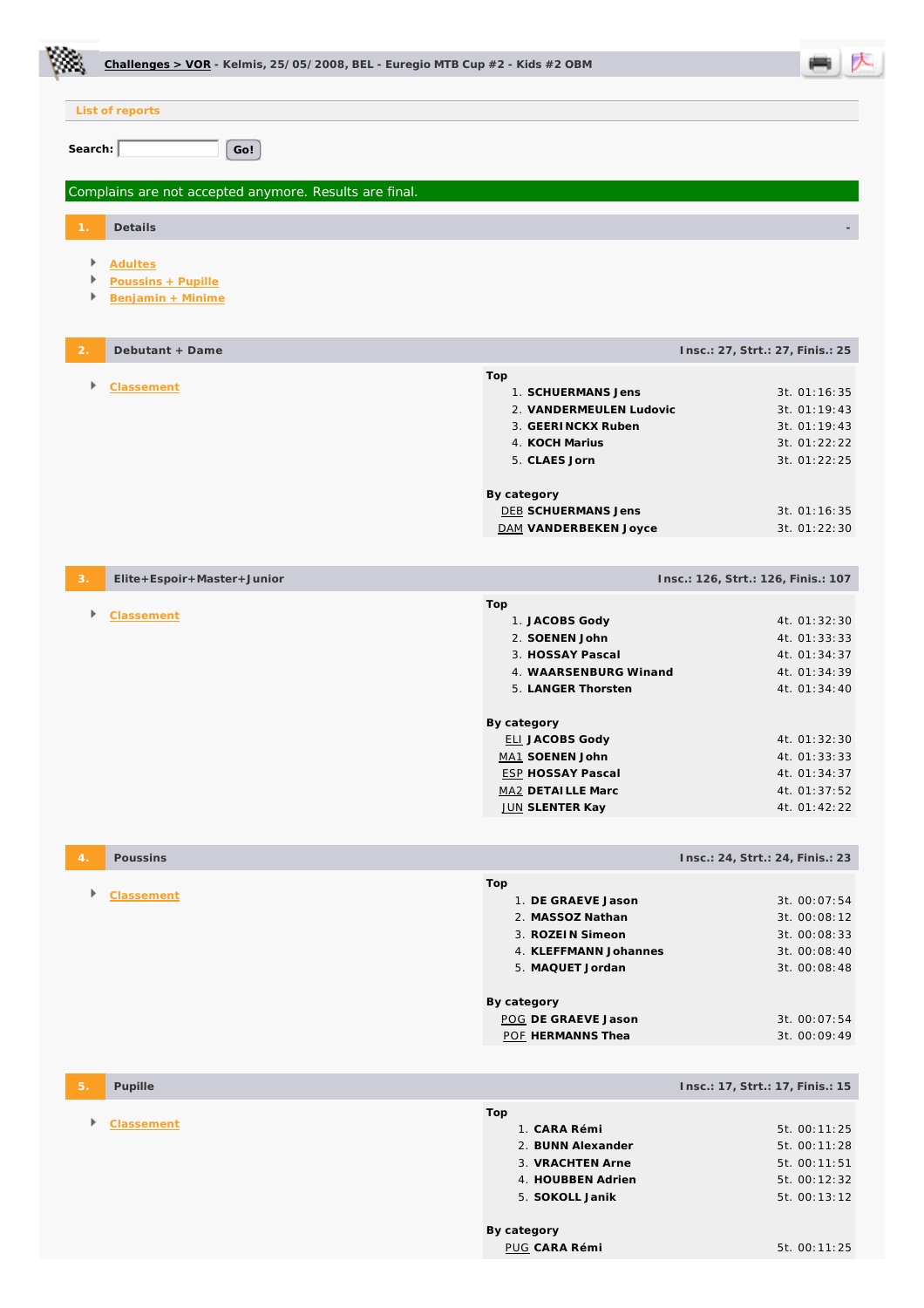|                | Challenges > VOR - Kelmis, 25/05/2008, BEL - Euregio MTB Cup $#2$ - Kids $#2$ OBM |                                               |                                     |
|----------------|-----------------------------------------------------------------------------------|-----------------------------------------------|-------------------------------------|
|                | List of reports                                                                   |                                               |                                     |
| Search:        | Go!                                                                               |                                               |                                     |
|                |                                                                                   |                                               |                                     |
|                | Complains are not accepted anymore. Results are final.                            |                                               |                                     |
|                | Details                                                                           |                                               |                                     |
|                | Þ<br><b>Adultes</b><br>Poussins + Pupille                                         |                                               |                                     |
|                | Benjamin + Minime                                                                 |                                               |                                     |
| $\overline{2}$ | Debutant + Dame                                                                   |                                               | Insc.: 27, Strt.: 27, Finis.: 25    |
|                | Þ<br>Classement                                                                   | Top<br>1. SCHUERMANS Jens                     | 3t. 01:16:35                        |
|                |                                                                                   | 2. VANDERMEULEN Ludovic                       | 3t. 01:19:43                        |
|                |                                                                                   | 3. GEERINCKX Ruben                            | 3t. 01:19:43                        |
|                |                                                                                   | 4. KOCH Marius                                | 3t. 01:22:22                        |
|                |                                                                                   | 5. CLAES Jorn                                 | 3t. 01:22:25                        |
|                |                                                                                   | By category                                   |                                     |
|                |                                                                                   | <b>DEB SCHUERMANS Jens</b>                    | 3t. 01:16:35                        |
|                |                                                                                   | DAM VANDERBEKEN Joyce                         | 3t. 01:22:30                        |
| 3.             | Elite+Espoir+Master+Junior                                                        |                                               | Insc.: 126, Strt.: 126, Finis.: 107 |
|                | Þ<br>Classement                                                                   | Top                                           |                                     |
|                |                                                                                   | 1. JACOBS Gody<br>2. SOENEN John              | 4t. 01:32:30<br>4t. 01:33:33        |
|                |                                                                                   | 3. HOSSAY Pascal                              | 4t. 01:34:37                        |
|                |                                                                                   | 4. WAARSENBURG Winand                         | 4t. 01:34:39                        |
|                |                                                                                   | 5. LANGER Thorsten                            | 4t. 01:34:40                        |
|                |                                                                                   | By category                                   |                                     |
|                |                                                                                   | <b>ELI JACOBS Gody</b>                        | 4t. 01:32:30                        |
|                |                                                                                   | MA1 SOENEN John                               | 4t. 01:33:33                        |
|                |                                                                                   | <b>ESP HOSSAY Pascal</b><br>MA2 DETAILLE Marc | 4t. 01:34:37<br>4t. 01:37:52        |
|                |                                                                                   | <b>JUN SLENTER Kay</b>                        | 4t. 01:42:22                        |
|                |                                                                                   |                                               |                                     |
| $\overline{4}$ | Poussins                                                                          |                                               | Insc.: 24, Strt.: 24, Finis.: 23    |
|                | Þ<br>Classement                                                                   | Top<br>1. DE GRAEVE Jason                     | 3t. 00:07:54                        |
|                |                                                                                   | 2. MASSOZ Nathan                              | 3t. 00:08:12                        |
|                |                                                                                   | 3. ROZEIN Simeon                              | 3t. 00:08:33                        |
|                |                                                                                   | 4. KLEFFMANN Johannes                         | 3t. 00:08:40                        |
|                |                                                                                   | 5. MAQUET Jordan                              | 3t. 00:08:48                        |
|                |                                                                                   | By category                                   |                                     |
|                |                                                                                   | POG DE GRAEVE Jason<br>POF HERMANNS Thea      | 3t. 00:07:54<br>3t. 00:09:49        |
|                |                                                                                   |                                               |                                     |
| 5.             | Pupille                                                                           |                                               | Insc.: 17, Strt.: 17, Finis.: 15    |
|                | Þ                                                                                 | Top                                           |                                     |
|                | Classement                                                                        | 1. CARA Rémi                                  | 5t. 00:11:25                        |
|                |                                                                                   | 2. BUNN Alexander                             | 5t. 00:11:28                        |
|                |                                                                                   | 3. VRACHTEN Arne<br>4. HOUBBEN Adrien         | 5t. 00:11:51<br>5t. 00:12:32        |
|                |                                                                                   | 5. SOKOLL Janik                               | 5t. 00:13:12                        |
|                |                                                                                   |                                               |                                     |
|                |                                                                                   | By category<br>PUG CARA Rémi                  | 5t. 00:11:25                        |
|                |                                                                                   |                                               |                                     |

١